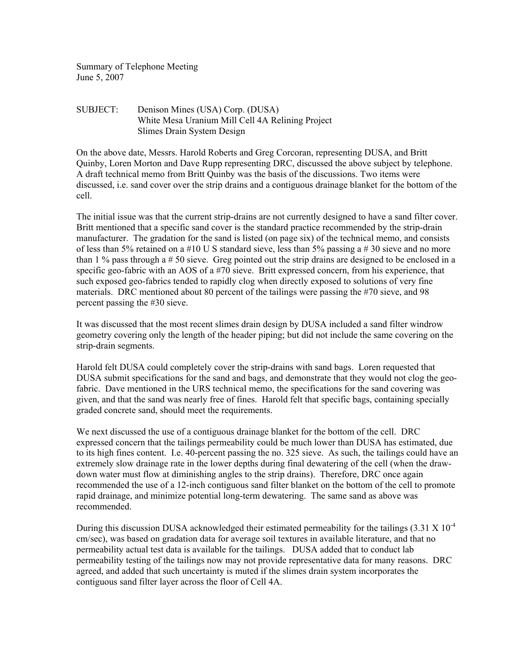Summary of Telephone Meeting June 5, 2007

## SUBJECT: Denison Mines (USA) Corp. (DUSA) White Mesa Uranium Mill Cell 4A Relining Project Slimes Drain System Design

On the above date, Messrs. Harold Roberts and Greg Corcoran, representing DUSA, and Britt Quinby, Loren Morton and Dave Rupp representing DRC, discussed the above subject by telephone. A draft technical memo from Britt Quinby was the basis of the discussions. Two items were discussed, i.e. sand cover over the strip drains and a contiguous drainage blanket for the bottom of the cell.

The initial issue was that the current strip-drains are not currently designed to have a sand filter cover. Britt mentioned that a specific sand cover is the standard practice recommended by the strip-drain manufacturer. The gradation for the sand is listed (on page six) of the technical memo, and consists of less than 5% retained on a #10 U S standard sieve, less than 5% passing a #30 sieve and no more than 1 % pass through a  $\# 50$  sieve. Greg pointed out the strip drains are designed to be enclosed in a specific geo-fabric with an AOS of a #70 sieve. Britt expressed concern, from his experience, that such exposed geo-fabrics tended to rapidly clog when directly exposed to solutions of very fine materials. DRC mentioned about 80 percent of the tailings were passing the #70 sieve, and 98 percent passing the #30 sieve.

It was discussed that the most recent slimes drain design by DUSA included a sand filter windrow geometry covering only the length of the header piping; but did not include the same covering on the strip-drain segments.

Harold felt DUSA could completely cover the strip-drains with sand bags. Loren requested that DUSA submit specifications for the sand and bags, and demonstrate that they would not clog the geofabric. Dave mentioned in the URS technical memo, the specifications for the sand covering was given, and that the sand was nearly free of fines. Harold felt that specific bags, containing specially graded concrete sand, should meet the requirements.

We next discussed the use of a contiguous drainage blanket for the bottom of the cell. DRC expressed concern that the tailings permeability could be much lower than DUSA has estimated, due to its high fines content. I.e. 40-percent passing the no. 325 sieve. As such, the tailings could have an extremely slow drainage rate in the lower depths during final dewatering of the cell (when the drawdown water must flow at diminishing angles to the strip drains). Therefore, DRC once again recommended the use of a 12-inch contiguous sand filter blanket on the bottom of the cell to promote rapid drainage, and minimize potential long-term dewatering. The same sand as above was recommended.

During this discussion DUSA acknowledged their estimated permeability for the tailings  $(3.31 \times 10^{-4})$ cm/sec), was based on gradation data for average soil textures in available literature, and that no permeability actual test data is available for the tailings. DUSA added that to conduct lab permeability testing of the tailings now may not provide representative data for many reasons. DRC agreed, and added that such uncertainty is muted if the slimes drain system incorporates the contiguous sand filter layer across the floor of Cell 4A.